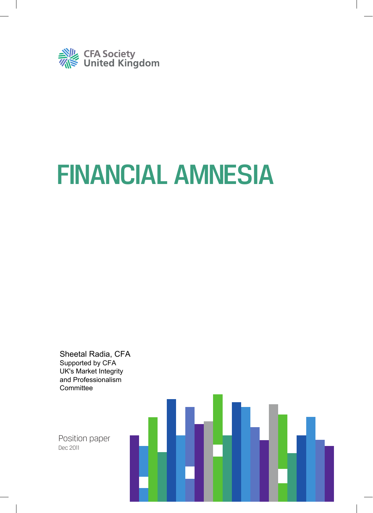

# FINANCIAL AMNESIA

Sheetal Radia, CFA Supported by CFA UK's Market Integrity and Professionalism **Committee** 

Position paper Dec 2011

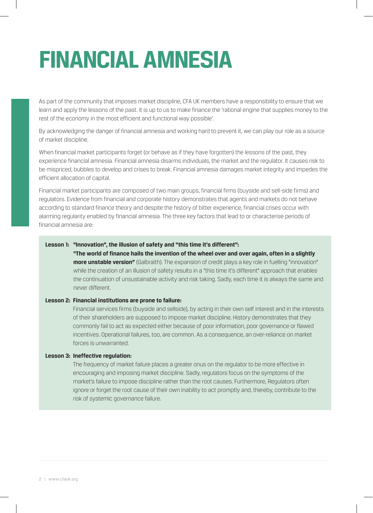## **FINANCIAL AMNESIA**

As part of the community that imposes market discipline, CFA UK members have a responsibility to ensure that we learn and apply the lessons of the past. It is up to us to make finance the 'rational engine that supplies money to the rest of the economy in the most efficient and functional way possible'.

By acknowledging the danger of financial amnesia and working hard to prevent it, we can play our role as a source of market discipline.

When financial market participants forget (or behave as if they have forgotten) the lessons of the past, they experience financial amnesia. Financial amnesia disarms individuals, the market and the regulator. It causes risk to be mispriced, bubbles to develop and crises to break. Financial amnesia damages market integrity and impedes the efficient allocation of capital.

Financial market participants are composed of two main groups, financial firms (buyside and sell-side firms) and regulators. Evidence from financial and corporate history demonstrates that agents and markets do not behave according to standard finance theory and despite the history of bitter experience, financial crises occur with alarming regularity enabled by financial amnesia. The three key factors that lead to or characterise periods of financial amnesia are:

#### **Lesson 1: "Innovation", the illusion of safety and "this time it's different":**

**"The world of finance hails the invention of the wheel over and over again, often in a slightly more unstable version"** (Galbraith). The expansion of credit plays a key role in fuelling "innovation" while the creation of an illusion of safety results in a "this time it's different" approach that enables the continuation of unsustainable activity and risk taking. Sadly, each time it is always the same and never different.

#### **Lesson 2: Financial institutions are prone to failure:**

Financial services firms (buyside and sellside), by acting in their own self interest and in the interests of their shareholders are supposed to impose market discipline. History demonstrates that they commonly fail to act as expected either because of poor information, poor governance or flawed incentives. Operational failures, too, are common. As a consequence, an over-reliance on market forces is unwarranted.

#### **Lesson 3: Ineffective regulation:**

The frequency of market failure places a greater onus on the regulator to be more effective in encouraging and imposing market discipline. Sadly, regulators focus on the symptoms of the market's failure to impose discipline rather than the root causes. Furthermore, Regulators often ignore or forget the root cause of their own inability to act promptly and, thereby, contribute to the risk of systemic governance failure.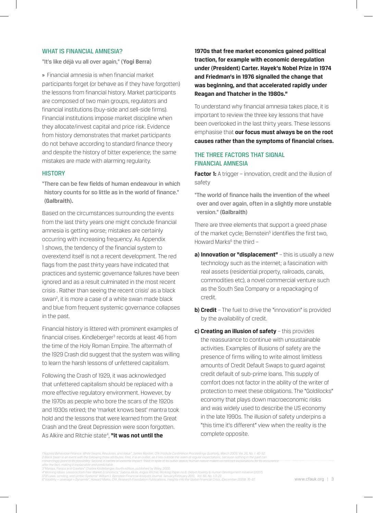#### WHAT IS FINANCIAL AMNESIA?

"It's like déjà vu all over again," **(Yogi Berra)**

» Financial amnesia is when financial market participants forget (or behave as if they have forgotten) the lessons from financial history. Market participants are composed of two main groups, regulators and financial institutions (buy-side and sell-side firms). Financial institutions impose market discipline when they allocate/invest capital and price risk. Evidence from history demonstrates that market participants do not behave according to standard finance theory and despite the history of bitter experience; the same mistakes are made with alarming regularity.

#### **HISTORY**

"There can be few fields of human endeavour in which history counts for so little as in the world of finance." **(Galbraith).** 

Based on the circumstances surrounding the events from the last thirty years one might conclude financial amnesia is getting worse; mistakes are certainly occurring with increasing frequency. As Appendix 1 shows, the tendency of the financial system to overextend itself is not a recent development. The red flags from the past thirty years have indicated that practices and systemic governance failures have been ignored and as a result culminated in the most recent crisis. Rather than seeing the recent crisis<sup>1</sup> as a black swan<sup>2</sup>, it is more a case of a white swan made black and blue from frequent systemic governance collapses in the past.

Financial history is littered with prominent examples of financial crises. Kindleberger<sup>3</sup> records at least 46 from the time of the Holy Roman Empire. The aftermath of the 1929 Crash did suggest that the system was willing to learn the harsh lessons of unfettered capitalism.

Following the Crash of 1929, it was acknowledged that unfettered capitalism should be replaced with a more effective regulatory environment. However, by the 1970s as people who bore the scars of the 1920s and 1930s retired; the 'market knows best' mantra took hold and the lessons that were learned from the Great Crash and the Great Depression were soon forgotten. As Alkire and Ritchie state<sup>4</sup>, "**it was not until the** 

**1970s that free market economics gained political traction, for example with economic deregulation under (President) Carter. Hayek's Nobel Prize in 1974 and Friedman's in 1976 signalled the change that was beginning, and that accelerated rapidly under Reagan and Thatcher in the 1980s."** 

To understand why financial amnesia takes place, it is important to review the three key lessons that have been overlooked in the last thirty years. These lessons emphasise that **our focus must always be on the root causes rather than the symptoms of financial crises.** 

## THE THREE FACTORS THAT SIGNAL FINANCIAL AMNESIA

**Factor 1:** A trigger – innovation, credit and the illusion of safety

"The world of finance hails the invention of the wheel over and over again, often in a slightly more unstable version." **(Galbraith)**

There are three elements that support a greed phase of the market cycle; Bernstein<sup>5</sup> identifies the first two, Howard Marks<sup>6</sup> the third -

- **a) Innovation or "displacement"** this is usually a new technology such as the internet; a fascination with real assets (residential property, railroads, canals, commodities etc), a novel commercial venture such as the South Sea Company or a repackaging of credit.
- **b) Credit** The fuel to drive the "innovation" is provided by the availability of credit.
- **c) Creating an illusion of safety** this provides the reassurance to continue with unsustainable activities. Examples of illusions of safety are the presence of firms willing to write almost limitless amounts of Credit Default Swaps to guard against credit default of sub-prime loans. This supply of comfort does not factor in the ability of the writer of protection to meet these obligations. The "Goldilocks" economy that plays down macroeconomic risks and was widely used to describe the US economy in the late 1990s. The illusion of safety underpins a "this time it's different" view when the reality is the complete opposite.

*1"Applied Behavioral Finance: White Swans, Revulsion, and Value", James Montier, CFA Institute Conference Proceedings Quarterly, March 2009, Vol. 26, No. 1: 40-52.* 2 Black Swan is an event with the following three attributes. First, it is an outlier, as it lies outside the realm of regular expectations, because nothing in the past can<br>convircingly point to its possibility. Second, it *after the fact, making it explainable and predictable.* 

<sup>3&</sup>quot;Manias, Panics and Crashes" Charles Kindleberger, fourth edition, published by Wiley, 2000.<br>4"Winning Ideas: Lessons from Free-Market Economics," Sabina Alkire, Angus Ritchie, Working Paper no.6, Oxford Poverty & Human D *5"Of Laws, Lending, and Limbic Systems" William J. Bernstein Financial Analysts Journal, January/February 2010, Vol. 66, No. 1:17-22.*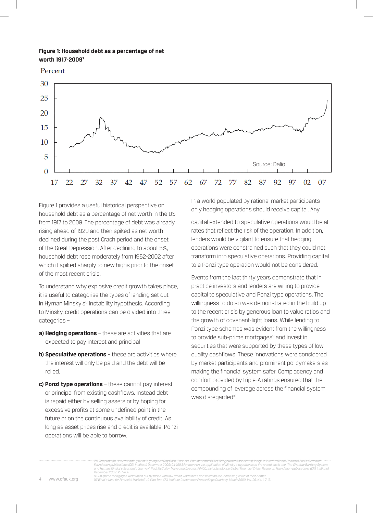#### **Figure 1: Household debt as a percentage of net worth 1917-20097**

Percent



Figure 1 provides a useful historical perspective on household debt as a percentage of net worth in the US from 1917 to 2009. The percentage of debt was already rising ahead of 1929 and then spiked as net worth declined during the post Crash period and the onset of the Great Depression. After declining to about 5%, household debt rose moderately from 1952-2002 after which it spiked sharply to new highs prior to the onset of the most recent crisis.

To understand why explosive credit growth takes place, it is useful to categorise the types of lending set out in Hyman Minsky's<sup>8</sup> instability hypothesis. According to Minsky, credit operations can be divided into three categories –

- **a) Hedging operations**  these are activities that are expected to pay interest and principal
- **b) Speculative operations** these are activities where the interest will only be paid and the debt will be rolled.
- **c) Ponzi type operations** these cannot pay interest or principal from existing cashflows. Instead debt is repaid either by selling assets or by hoping for excessive profits at some undefined point in the future or on the continuous availability of credit. As long as asset prices rise and credit is available, Ponzi operations will be able to borrow.

In a world populated by rational market participants only hedging operations should receive capital. Any

capital extended to speculative operations would be at rates that reflect the risk of the operation. In addition, lenders would be vigilant to ensure that hedging operations were constrained such that they could not transform into speculative operations. Providing capital to a Ponzi type operation would not be considered.

Events from the last thirty years demonstrate that in practice investors and lenders are willing to provide capital to speculative and Ponzi type operations. The willingness to do so was demonstrated in the build up to the recent crisis by generous loan to value ratios and the growth of covenant-light loans. While lending to Ponzi type schemes was evident from the willingness to provide sub-prime mortgages<sup>9</sup> and invest in securities that were supported by these types of low quality cashflows. These innovations were considered by market participants and prominent policymakers as making the financial system safer. Complacency and comfort provided by triple-A ratings ensured that the compounding of leverage across the financial system was disregarded<sup>10</sup>.

*7"A Template for understanding what is going on," Ray Dalio (Founder, President and CIO of Bridgewater Associates), Insights into the Global Financial Crisis, Research Foundation publications (CFA Institute) December 2009: 94-109 8For more on the application of Minsky's hypothesis to the recent crisis see "The Shadow Banking System and Hyman Minsky's Economic Journey," Paul McCulley Managing Director, PIMCO, Insights into the Global Financial Crisis, Research Foundation publications (CFA Institute) December 2009: 257-268*

*9 Sub-prime mortgages were taken out by those with low credit worthiness and relied on the increasing value of their homes 10"What's Next for Financial Markets?", Gillian Tett, CFA Institute Conference Proceedings Quarterly, March 2009, Vol. 26, No. 1: 7-15.*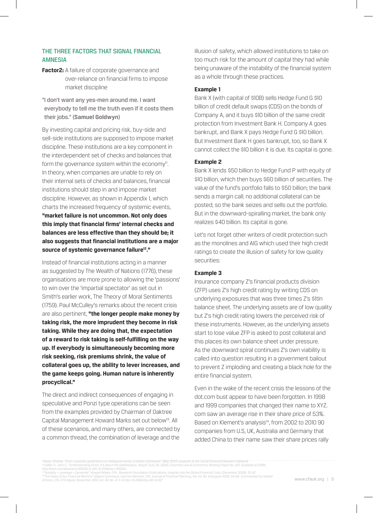## THE THREE FACTORS THAT SIGNAL FINANCIAL AMNESIA

**Factor2:** A failure of corporate governance and over-reliance on financial firms to impose market discipline

"I don't want any yes-men around me. I want everybody to tell me the truth even if it costs them their jobs." **(Samuel Goldwyn)**

By investing capital and pricing risk, buy-side and sell-side institutions are supposed to impose market discipline. These institutions are a key component in the interdependent set of checks and balances that form the governance system within the economy $I<sup>11</sup>$ . In theory, when companies are unable to rely on their internal sets of checks and balances, financial institutions should step in and impose market discipline. However, as shown in Appendix 1, which charts the increased frequency of systemic events, **"market failure is not uncommon. Not only does this imply that financial firms' internal checks and balances are less effective than they should be; it also suggests that financial institutions are a major source of systemic governance failure12."** 

Instead of financial institutions acting in a manner as suggested by The Wealth of Nations (1776), these organisations are more prone to allowing the 'passions' to win over the 'impartial spectator' as set out in Smith's earlier work, The Theory of Moral Sentiments (1759). Paul McCulley's remarks about the recent crisis are also pertinent, **"the longer people make money by taking risk, the more imprudent they become in risk taking. While they are doing that, the expectation of a reward to risk taking is self-fulfilling on the way up. If everybody is simultaneously becoming more risk seeking, risk premiums shrink, the value of collateral goes up, the ability to lever increases, and the game keeps going. Human nature is inherently procyclical."**

The direct and indirect consequences of engaging in speculative and Ponzi type operations can be seen from the examples provided by Chairman of Oaktree Capital Management Howard Marks set out below<sup>13</sup>. All of these scenarios, and many others, are connected by a common thread, the combination of leverage and the

illusion of safety, which allowed institutions to take on too much risk for the amount of capital they had while being unaware of the instability of the financial system as a whole through these practices.

#### **Example 1**

Bank X (with capital of \$10B) sells Hedge Fund G \$10 billion of credit default swaps (CDS) on the bonds of Company A, and it buys \$10 billion of the same credit protection from Investment Bank H. Company A goes bankrupt, and Bank X pays Hedge Fund G \$10 billion. But Investment Bank H goes bankrupt, too, so Bank X cannot collect the \$10 billion it is due. Its capital is gone.

#### **Example 2**

Bank X lends \$50 billion to Hedge Fund P with equity of \$10 billion, which then buys \$60 billion of securities. The value of the fund's portfolio falls to \$50 billion; the bank sends a margin call; no additional collateral can be posted; so the bank seizes and sells out the portfolio. But in the downward-spiralling market, the bank only realizes \$40 billion. Its capital is gone.

Let's not forget other writers of credit protection such as the monolines and AIG which used their high credit ratings to create the illusion of safety for low quality securities:

#### **Example 3**

Insurance company Z's financial products division (ZFP) uses Z's high credit rating by writing CDS on underlying exposures that was three times Z's \$1tln balance sheet. The underlying assets are of low quality but Z's high credit rating lowers the perceived risk of these instruments. However, as the underlying assets start to lose value ZFP is asked to post collateral and this places its own balance sheet under pressure. As the downward spiral continues Z's own viability is called into question resulting in a government bailout to prevent Z imploding and creating a black hole for the entire financial system.

Even in the wake of the recent crisis the lessons of the dot.com bust appear to have been forgotten. In 1998 and 1999 companies that changed their name to XYZ. com saw an average rise in their share price of 53%. Based on Klement's analysis<sup>14</sup>, from 2002 to 2010 90 companies from U.S, UK, Australia and Germany that added China to their name saw their share prices rally

<sup>&</sup>quot;Rädiä,"Sheetäl," From corporate governance to metagovernance," a holistic framework" (May 2007) available aft frie Social Scienced Research Network<br>"Coffee Jr., John C., "Understanding Enron: It's About the Gatekeepers, S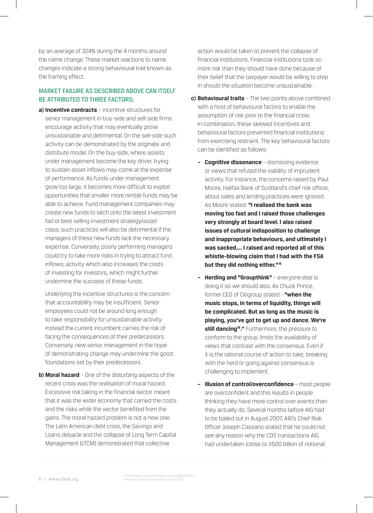by an average of 324% during the 4 months around the name change. These market reactions to name changes indicate a strong behavioural trait known as the framing effect.

## MARKET FAILURE AS DESCRIBED ABOVE CAN ITSELF BE ATTRIBUTED TO THREE FACTORS:

**a) Incentive contracts** – incentive structures for senior management in buy-side and sell-side firms encourage activity that may eventually prove unsustainable and detrimental. On the sell-side such activity can be demonstrated by the originate and distribute model. On the buy-side, where assets under management become the key driver, trying to sustain asset inflows may come at the expense of performance. As funds under management grow too large, it becomes more difficult to exploit opportunities that smaller more nimble funds may be able to achieve. Fund management companies may create new funds to latch onto the latest investment fad or best selling investment strategy/asset class; such practices will also be detrimental if the managers of these new funds lack the necessary expertise. Conversely, poorly performing managers could try to take more risks in trying to attract fund inflows; activity which also increases the costs of investing for investors, which might further undermine the success of these funds.

 Underlying the incentive structures is the concern that accountability may be insufficient. Senior employees could not be around long enough to take responsibility for unsustainable activity. Instead the current incumbent carries the risk of facing the consequences of their predecessors. Conversely, new senior management in the hope of demonstrating change may undermine the good foundations set by their predecessors.

**b) Moral hazard** – One of the disturbing aspects of the recent crisis was the realisation of moral hazard. Excessive risk taking in the financial sector meant that it was the wider economy that carried the costs and the risks while the sector benefited from the gains. The moral hazard problem is not a new one. The Latin American debt crisis, the Savings and Loans debacle and the collapse of Long Term Capital Management (LTCM) demonstrated that collective

action would be taken to prevent the collapse of financial institutions. Financial institutions took on more risk than they should have done because of their belief that the taxpayer would be willing to step in should the situation become unsustainable.

- **c) Behavioural traits** The two points above combined with a host of behavioural factors to enable the assumption of risk prior to the financial crisis. In combination, these skewed incentives and behavioural factors prevented financial institutions from exercising restraint. The key behavioural factors can be identified as follows:
	- **Cognitive dissonance** dismissing evidence or views that refuted the viability of imprudent activity. For instance, the concerns raised by Paul Moore, Halifax Bank of Scotland's chief risk officer, about sales and lending practices were ignored. As Moore stated: **"I realised the bank was moving too fast and I raised those challenges very strongly at board level. I also raised issues of cultural indisposition to challenge and inappropriate behaviours, and ultimately I was sacked…. I raised and reported all of this whistle-blowing claim that I had with the FSA but they did nothing either."15**
	- **Herding and "Groupthink"** everyone else is doing it so we should also. As Chuck Prince, former CEO of Citigroup stated - **"when the music stops, in terms of liquidity, things will be complicated. But as long as the music is playing, you've got to get up and dance. We're still dancing<sup>16</sup>."** Furthermore, the pressure to conform to the group, limits the availability of views that contrast with the consensus. Even if it is the rational course of action to take, breaking with the herd or going against consensus is challenging to implement.
	- **Illusion of control/overconfidence** most people are overconfident and this results in people thinking they have more control over events than they actually do. Several months before AIG had to be bailed out in August 2007, AIG's Chief Risk Officer Joseph Cassano stated that he could not see any reason why the CDS transactions AIG had undertaken (close to \$500 billion of notional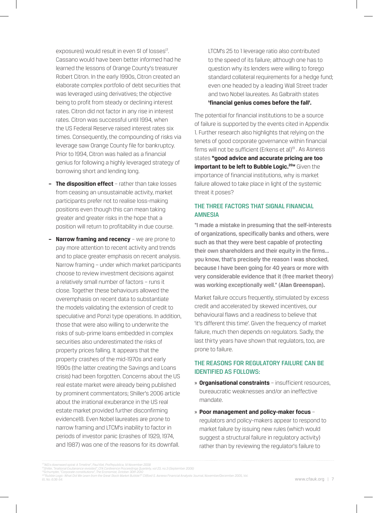exposures) would result in even \$1 of losses<sup>17</sup>. Cassano would have been better informed had he learned the lessons of Orange County's treasurer Robert Citron. In the early 1990s, Citron created an elaborate complex portfolio of debt securities that was leveraged using derivatives; the objective being to profit from steady or declining interest rates. Citron did not factor in any rise in interest rates. Citron was successful until 1994, when the US Federal Reserve raised interest rates six times. Consequently, the compounding of risks via leverage saw Orange County file for bankruptcy. Prior to 1994, Citron was hailed as a financial genius for following a highly leveraged strategy of borrowing short and lending long.

- **The disposition effect** rather than take losses from ceasing an unsustainable activity, market participants prefer not to realise loss-making positions even though this can mean taking greater and greater risks in the hope that a position will return to profitability in due course.
- **Narrow framing and recency** we are prone to pay more attention to recent activity and trends and to place greater emphasis on recent analysis. Narrow framing – under which market participants choose to review investment decisions against a relatively small number of factors – runs it close. Together these behaviours allowed the overemphasis on recent data to substantiate the models validating the extension of credit to speculative and Ponzi type operations. In addition, those that were also willing to underwrite the risks of sub-prime loans embedded in complex securities also underestimated the risks of property prices falling. It appears that the property crashes of the mid-1970s and early 1990s (the latter creating the Savings and Loans crisis) had been forgotten. Concerns about the US real estate market were already being published by prominent commentators; Shiller's 2006 article about the irrational exuberance in the US real estate market provided further disconfirming evidence18. Even Nobel laureates are prone to narrow framing and LTCM's inability to factor in periods of investor panic (crashes of 1929, 1974, and 1987) was one of the reasons for its downfall.

LTCM's 25 to 1 leverage ratio also contributed to the speed of its failure; although one has to question why its lenders were willing to forego standard collateral requirements for a hedge fund; even one headed by a leading Wall Street trader and two Nobel laureates. As Galbraith states **'financial genius comes before the fall'.**

The potential for financial institutions to be a source of failure is supported by the events cited in Appendix 1. Further research also highlights that relying on the tenets of good corporate governance within financial firms will not be sufficient (Erkens et al)<sup>19</sup>. As Asness states **"good advice and accurate pricing are too important to be left to Bubble Logic.<sup>20</sup>"** Given the importance of financial institutions, why is market failure allowed to take place in light of the systemic threat it poses?

## THE THREE FACTORS THAT SIGNAL FINANCIAL AMNESIA

"I made a mistake in presuming that the self-interests of organizations, specifically banks and others, were such as that they were best capable of protecting their own shareholders and their equity in the firms... you know, that's precisely the reason I was shocked, because I have been going for 40 years or more with very considerable evidence that it (free market theory) was working exceptionally well." **(Alan Greenspan).**

Market failure occurs frequently, stimulated by excess credit and accelerated by skewed incentives, our behavioural flaws and a readiness to believe that 'it's different this time'. Given the frequency of market failure, much then depends on regulators. Sadly, the last thirty years have shown that regulators, too, are prone to failure.

## THE REASONS FOR REGULATORY FAILURE CAN BE IDENTIFIED AS FOLLOWS:

- » **Organisational constraints** insufficient resources, bureaucratic weaknesses and/or an ineffective mandate.
- » **Poor management and policy-maker focus** regulators and policy-makers appear to respond to market failure by issuing new rules (which would suggest a structural failure in regulatory activity) rather than by reviewing the regulator's failure to

*<sup>17&</sup>quot;AIG's downward spiral: A Timeline", Paul Kiel, ProPepublica, 14 November 2008* 

<sup>&</sup>quot;Shiller, "Irrational Exuberance revisited", CFA Conference Proceedings Quarterly, vol 23, no.3 (September 2006)<br>"Schumpter, "Corporate constitutions", The Economist, October 30th 2010<br>\*"Rubble Logic: What Did We Learn fro *61, No. 6:36-54.*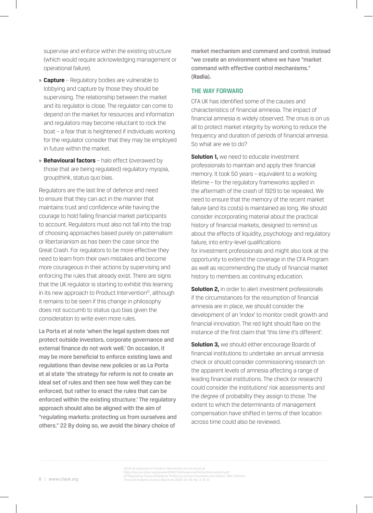supervise and enforce within the existing structure (which would require acknowledging management or operational failure).

- » **Capture** Regulatory bodies are vulnerable to lobbying and capture by those they should be supervising. The relationship between the market and its regulator is close. The regulator can come to depend on the market for resources and information and regulators may become reluctant to rock the boat – a fear that is heightened if individuals working for the regulator consider that they may be employed in future within the market.
- » **Behavioural factors** halo effect (overawed by those that are being regulated) regulatory myopia, groupthink, status quo bias.

Regulators are the last line of defence and need to ensure that they can act in the manner that maintains trust and confidence while having the courage to hold failing financial market participants to account. Regulators must also not fall into the trap of choosing approaches based purely on paternalism or libertarianism as has been the case since the Great Crash. For regulators to be more effective they need to learn from their own mistakes and become more courageous in their actions by supervising and enforcing the rules that already exist. There are signs that the UK regulator is starting to exhibit this learning in its new approach to Product Intervention<sup>21</sup>, although it remains to be seen if this change in philosophy does not succumb to status quo bias given the consideration to write even more rules.

La Porta et al note 'when the legal system does not protect outside investors, corporate governance and external finance do not work well.' On occasion, it may be more beneficial to enforce existing laws and regulations than devise new policies or as La Porta et al state 'the strategy for reform is not to create an ideal set of rules and then see how well they can be enforced, but rather to enact the rules that can be enforced within the existing structure.' The regulatory approach should also be aligned with the aim of "regulating markets: protecting us from ourselves and others." 22 By doing so, we avoid the binary choice of

market mechanism and command and control; instead "we create an environment where we have "market command with effective control mechanisms." **(Radia).**

#### THE WAY FORWARD

CFA UK has identified some of the causes and characteristics of financial amnesia. The impact of financial amnesia is widely observed. The onus is on us all to protect market integrity by working to reduce the frequency and duration of periods of financial amnesia. So what are we to do?

**Solution 1,** we need to educate investment professionals to maintain and apply their financial memory. It took 50 years – equivalent to a working lifetime – for the regulatory frameworks applied in the aftermath of the crash of 1929 to be repealed. We need to ensure that the memory of the recent market failure (and its costs) is maintained as long. We should consider incorporating material about the practical history of financial markets, designed to remind us about the effects of liquidity, psychology and regulatory failure, into entry-level qualifications for investment professionals and might also look at the opportunity to extend the coverage in the CFA Program as well as recommending the study of financial market history to members as continuing education.

**Solution 2,** in order to alert investment professionals if the circumstances for the resumption of financial amnesia are in place, we should consider the development of an 'index' to monitor credit growth and financial innovation. The red light should flare on the instance of the first claim that 'this time it's different'.

**Solution 3, we should either encourage Boards of** financial institutions to undertake an annual amnesia check or should consider commissioning research on the apparent levels of amnesia affecting a range of leading financial institutions. The check (or research) could consider the institutions' risk assessments and the degree of probability they assign to those. The extent to which the determinants of management compensation have shifted in terms of their location across time could also be reviewed.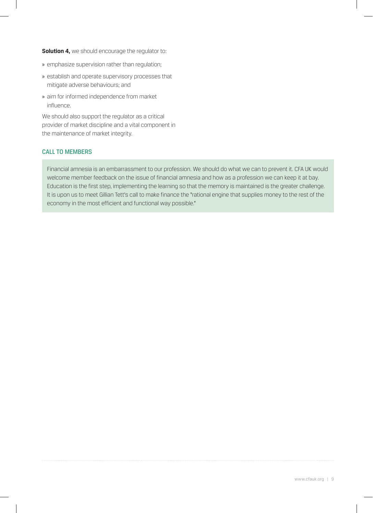**Solution 4, we should encourage the regulator to:** 

- » emphasize supervision rather than regulation;
- » establish and operate supervisory processes that mitigate adverse behaviours; and
- » aim for informed independence from market influence.

We should also support the regulator as a critical provider of market discipline and a vital component in the maintenance of market integrity.

## CALL TO MEMBERS

Financial amnesia is an embarrassment to our profession. We should do what we can to prevent it. CFA UK would welcome member feedback on the issue of financial amnesia and how as a profession we can keep it at bay. Education is the first step, implementing the learning so that the memory is maintained is the greater challenge. It is upon us to meet Gillian Tett's call to make finance the "rational engine that supplies money to the rest of the economy in the most efficient and functional way possible."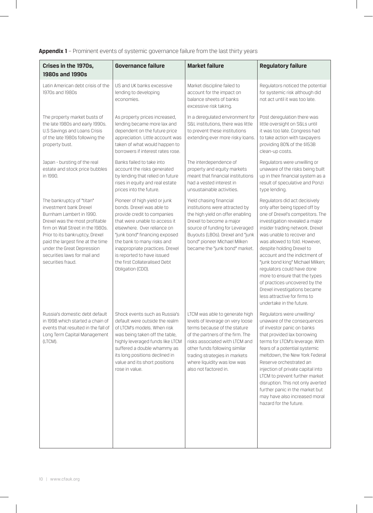**Appendix 1** – Prominent events of systemic governance failure from the last thirty years

| Crises in the 1970s,<br><b>1980s and 1990s</b>                                                                                                                                                                                                                                                                    | <b>Governance failure</b>                                                                                                                                                                                                                                                                                                                       | <b>Market failure</b>                                                                                                                                                                                                                                                                              | <b>Regulatory failure</b>                                                                                                                                                                                                                                                                                                                                                                                                                                                                                                            |
|-------------------------------------------------------------------------------------------------------------------------------------------------------------------------------------------------------------------------------------------------------------------------------------------------------------------|-------------------------------------------------------------------------------------------------------------------------------------------------------------------------------------------------------------------------------------------------------------------------------------------------------------------------------------------------|----------------------------------------------------------------------------------------------------------------------------------------------------------------------------------------------------------------------------------------------------------------------------------------------------|--------------------------------------------------------------------------------------------------------------------------------------------------------------------------------------------------------------------------------------------------------------------------------------------------------------------------------------------------------------------------------------------------------------------------------------------------------------------------------------------------------------------------------------|
| Latin American debt crisis of the<br>1970s and 1980s                                                                                                                                                                                                                                                              | US and UK banks excessive<br>lending to developing<br>economies.                                                                                                                                                                                                                                                                                | Market discipline failed to<br>account for the impact on<br>balance sheets of banks<br>excessive risk taking.                                                                                                                                                                                      | Regulators noticed the potential<br>for systemic risk although did<br>not act until it was too late.                                                                                                                                                                                                                                                                                                                                                                                                                                 |
| The property market busts of<br>the late 1980s and early 1990s.<br>U.S Savings and Loans Crisis<br>of the late 1980s following the<br>property bust.                                                                                                                                                              | As property prices increased,<br>lending became more lax and<br>dependent on the future price<br>appreciation. Little account was<br>taken of what would happen to<br>borrowers if interest rates rose.                                                                                                                                         | In a deregulated environment for<br>S&L institutions, there was little<br>to prevent these institutions<br>extending ever more risky loans.                                                                                                                                                        | Post deregulation there was<br>little oversight on S&Ls until<br>it was too late. Congress had<br>to take action with taxpayers<br>providing 80% of the \$153B<br>clean-up costs.                                                                                                                                                                                                                                                                                                                                                    |
| Japan - bursting of the real<br>estate and stock price bubbles<br>in 1990.                                                                                                                                                                                                                                        | Banks failed to take into<br>account the risks generated<br>by lending that relied on future<br>rises in equity and real estate<br>prices into the future.                                                                                                                                                                                      | The interdependence of<br>property and equity markets<br>meant that financial institutions<br>had a vested interest in<br>unsustainable activities.                                                                                                                                                | Regulators were unwilling or<br>unaware of the risks being built<br>up in their financial system as a<br>result of speculative and Ponzi<br>type lending.                                                                                                                                                                                                                                                                                                                                                                            |
| The bankruptcy of "titan"<br>investment bank Drexel<br>Burnham Lambert in 1990.<br>Drexel was the most profitable<br>firm on Wall Street in the 1980s.<br>Prior to its bankruptcy, Drexel<br>paid the largest fine at the time<br>under the Great Depression<br>securities laws for mail and<br>securities fraud. | Pioneer of high yield or junk<br>bonds. Drexel was able to<br>provide credit to companies<br>that were unable to access it<br>elsewhere. Over reliance on<br>"junk bond" financing exposed<br>the bank to many risks and<br>inappropriate practices. Drexel<br>is reported to have issued<br>the first Collateralised Debt<br>Obligation (CDO). | Yield chasing financial<br>institutions were attracted by<br>the high yield on offer enabling<br>Drexel to become a major<br>source of funding for Leveraged<br>Buyouts (LBOs). Drexel and "junk<br>bond" pioneer Michael Milken<br>became the "junk bond" market.                                 | Regulators did act decisively<br>only after being tipped off by<br>one of Drexel's competitors. The<br>investigation revealed a major<br>insider trading network. Drexel<br>was unable to recover and<br>was allowed to fold. However,<br>despite holding Drexel to<br>account and the indictment of<br>"junk bond king" Michael Milken;<br>regulators could have done<br>more to ensure that the types<br>of practices uncovered by the<br>Drexel investigations became<br>less attractive for firms to<br>undertake in the future. |
| Russia's domestic debt default<br>in 1998 which started a chain of<br>events that resulted in the fall of<br>Long Term Capital Management<br>(LTCM).                                                                                                                                                              | Shock events such as Russia's<br>default were outside the realm<br>of LTCM's models. When risk<br>was being taken off the table,<br>highly leveraged funds like LTCM<br>suffered a double whammy as<br>its long positions declined in<br>value and its short positions<br>rose in value.                                                        | LTCM was able to generate high<br>levels of leverage on very loose<br>terms because of the stature<br>of the partners of the firm. The<br>risks associated with LTCM and<br>other funds following similar<br>trading strategies in markets<br>where liquidity was low was<br>also not factored in. | Regulators were unwilling/<br>unaware of the consequences<br>of investor panic on banks<br>that provided lax borrowing<br>terms for LTCM's leverage. With<br>fears of a potential systemic<br>meltdown, the New York Federal<br>Reserve orchestrated an<br>injection of private capital into<br>LTCM to prevent further market<br>disruption. This not only averted<br>further panic in the market but<br>may have also increased moral<br>hazard for the future.                                                                    |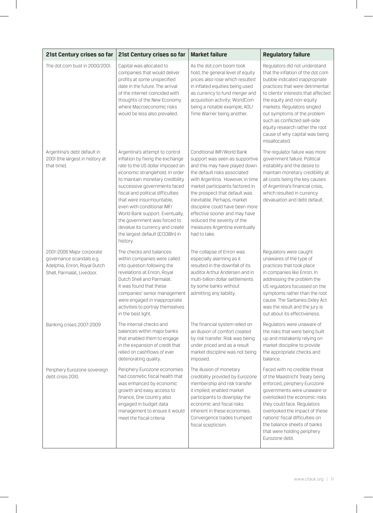| 21st Century crises so far                                                                                          | 21st Century crises so far                                                                                                                                                                                                                                                                                                                                                                                                                                          | <b>Market failure</b>                                                                                                                                                                                                                                                                                                                                                                                                    | <b>Regulatory failure</b>                                                                                                                                                                                                                                                                                                                                                                       |
|---------------------------------------------------------------------------------------------------------------------|---------------------------------------------------------------------------------------------------------------------------------------------------------------------------------------------------------------------------------------------------------------------------------------------------------------------------------------------------------------------------------------------------------------------------------------------------------------------|--------------------------------------------------------------------------------------------------------------------------------------------------------------------------------------------------------------------------------------------------------------------------------------------------------------------------------------------------------------------------------------------------------------------------|-------------------------------------------------------------------------------------------------------------------------------------------------------------------------------------------------------------------------------------------------------------------------------------------------------------------------------------------------------------------------------------------------|
| The dot.com bust in 2000/200                                                                                        | Capital was allocated to<br>companies that would deliver<br>profits at some unspecified<br>date in the future. The arrival<br>of the internet coincided with<br>thoughts of the New Economy<br>where Macroeconomic risks<br>would be less also prevailed.                                                                                                                                                                                                           | As the dot.com boom took<br>hold, the general level of equity<br>prices also rose which resulted<br>in inflated equities being used<br>as currency to fund merger and<br>acquisition activity; WorldCom<br>being a notable example, AOL/<br>Time Warner being another.                                                                                                                                                   | Regulators did not understand<br>that the inflation of the dot.com<br>bubble indicated inappropriate<br>practices that were detrimental<br>to clients' interests that affected<br>the equity and non-equity<br>markets. Regulators singled<br>out symptoms of the problem<br>such as conflicted sell-side<br>equity research rather the root<br>cause of why capital was being<br>misallocated. |
| Argentina's debt default in<br>2001 (the largest in history at<br>that time).                                       | Argentina's attempt to control<br>inflation by fixing the exchange<br>rate to the US dollar imposed an<br>economic stranglehold. In order<br>to maintain monetary credibility<br>successive governments faced<br>fiscal and political difficulties<br>that were insurmountable.<br>even with conditional IMF/<br>World Bank support. Eventually,<br>the government was forced to<br>devalue its currency and create<br>the largest default (£133Bln) in<br>history. | Conditional IMF/World Bank<br>support was seen as supportive<br>and this may have played down<br>the default risks associated<br>with Argentina. However, in time<br>market participants factored in<br>the prospect that default was<br>inevitable. Perhaps, market<br>discipline could have been more<br>effective sooner and may have<br>reduced the severity of the<br>measures Argentina eventually<br>had to take. | The regulator failure was more<br>government failure. Political<br>instability and the desire to<br>maintain monetary credibility at<br>all costs being the key causes<br>of Argentina's financial crisis,<br>which resulted in currency<br>devaluation and debt default.                                                                                                                       |
| 2001-2006 Major corporate<br>governance scandals e.g.<br>Adelphia, Enron, Royal Dutch<br>Shell, Parmalat, Livedoor. | The checks and balances<br>within companies were called<br>into question following the<br>revelations at Enron, Royal<br>Dutch Shell and Parmalat.<br>It was found that these<br>companies' senior management<br>were engaged in inappropriate<br>activities to portray themselves<br>in the best light.                                                                                                                                                            | The collapse of Enron was<br>especially alarming as it<br>resulted in the downfall of its<br>auditor Arthur Andersen and in<br>multi-billion dollar settlements<br>by some banks without<br>admitting any liability.                                                                                                                                                                                                     | Regulators were caught<br>unawares of the type of<br>practices that took place<br>in companies like Enron. In<br>addressing the problem the<br>US regulators focussed on the<br>symptoms rather than the root<br>cause. The Sarbanes Oxley Act<br>was the result and the jury is<br>out about its effectiveness.                                                                                |
| Banking crises 2007-2009                                                                                            | The internal checks and<br>balances within major banks<br>that enabled them to engage<br>in the expansion of credit that<br>relied on cashflows of ever<br>deteriorating quality.                                                                                                                                                                                                                                                                                   | The financial system relied on<br>an illusion of comfort created<br>by risk transfer. Risk was being<br>under priced and as a result<br>market discipline was not being<br>imposed.                                                                                                                                                                                                                                      | Regulators were unaware of<br>the risks that were being built<br>up and mistakenly relying on<br>market discipline to provide<br>the appropriate checks and<br>balance.                                                                                                                                                                                                                         |
| Periphery Eurozone sovereign<br>debt crisis 2010.                                                                   | Periphery Eurozone economies<br>had cosmetic fiscal health that<br>was enhanced by economic<br>growth and easy access to<br>finance, One country also<br>engaged in budget data<br>management to ensure it would<br>meet the fiscal criteria                                                                                                                                                                                                                        | The illusion of monetary<br>credibility provided by Eurozone<br>membership and risk transfer<br>it implied; enabled market<br>participants to downplay the<br>economic and fiscal risks<br>inherent in these economies.<br>Convergence trades trumped<br>fiscal scepticism.                                                                                                                                              | Faced with no credible threat<br>of the Maastricht Treaty being<br>enforced, periphery Eurozone<br>governments were unaware or<br>overlooked the economic risks<br>they could face. Regulators<br>overlooked the impact of these<br>nations' fiscal difficulties on<br>the balance sheets of banks<br>that were holding periphery<br>Eurozone debt.                                             |

 $\overline{\phantom{a}}$